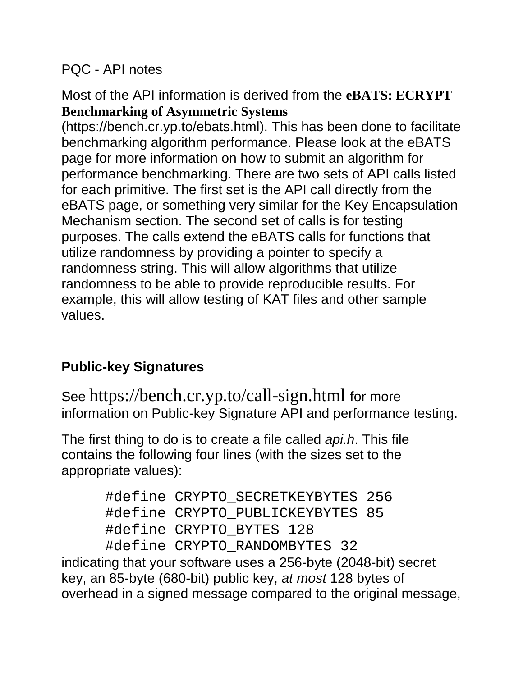#### PQC - API notes

Most of the API information is derived from the **eBATS: ECRYPT Benchmarking of Asymmetric Systems** 

(https://bench.cr.yp.to/ebats.html). This has been done to facilitate benchmarking algorithm performance. Please look at the eBATS page for more information on how to submit an algorithm for performance benchmarking. There are two sets of API calls listed for each primitive. The first set is the API call directly from the eBATS page, or something very similar for the Key Encapsulation Mechanism section. The second set of calls is for testing purposes. The calls extend the eBATS calls for functions that utilize randomness by providing a pointer to specify a randomness string. This will allow algorithms that utilize randomness to be able to provide reproducible results. For example, this will allow testing of KAT files and other sample values.

# **Public-key Signatures**

See https://bench.cr.yp.to/call-sign.html for more information on Public-key Signature API and performance testing.

The first thing to do is to create a file called *api.h*. This file contains the following four lines (with the sizes set to the appropriate values):

> #define CRYPTO\_SECRETKEYBYTES 256 #define CRYPTO\_PUBLICKEYBYTES 85 #define CRYPTO\_BYTES 128 #define CRYPTO\_RANDOMBYTES 32

indicating that your software uses a 256-byte (2048-bit) secret key, an 85-byte (680-bit) public key, *at most* 128 bytes of overhead in a signed message compared to the original message,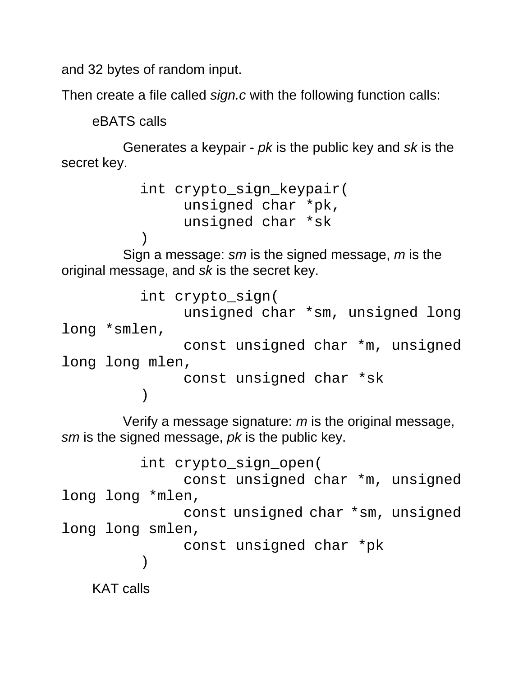and 32 bytes of random input.

Then create a file called *sign.c* with the following function calls:

eBATS calls

Generates a keypair - *pk* is the public key and *sk* is the secret key.

```
 int crypto_sign_keypair(
      unsigned char *pk,
      unsigned char *sk
```
 ) Sign a message: *sm* is the signed message, *m* is the original message, and *sk* is the secret key.

```
 int crypto_sign(
                unsigned char *sm, unsigned long 
long *smlen,
                const unsigned char *m, unsigned 
long long mlen,
                const unsigned char *sk
           )
```
Verify a message signature: *m* is the original message, *sm* is the signed message, *pk* is the public key.

```
 int crypto_sign_open(
                const unsigned char *m, unsigned 
long long *mlen,
                const unsigned char *sm, unsigned 
long long smlen,
                const unsigned char *pk
        ) 
   KAT calls
```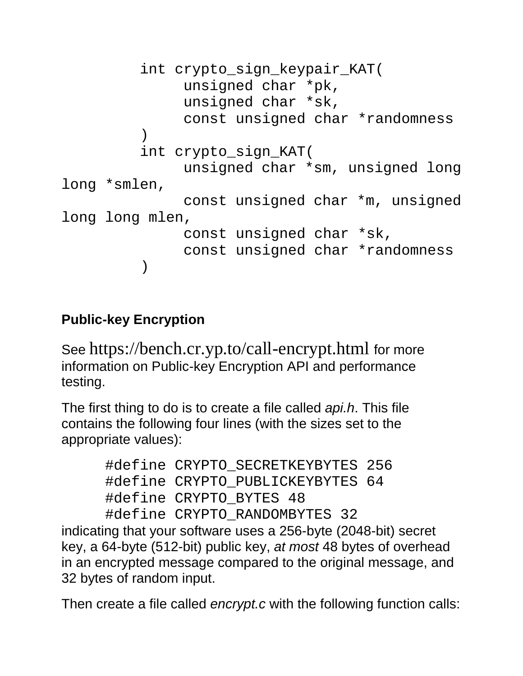```
 int crypto_sign_keypair_KAT(
               unsigned char *pk,
               unsigned char *sk,
               const unsigned char *randomness
 )
          int crypto_sign_KAT(
               unsigned char *sm, unsigned long 
long *smlen,
               const unsigned char *m, unsigned 
long long mlen,
               const unsigned char *sk,
               const unsigned char *randomness
          )
```
# **Public-key Encryption**

See https://bench.cr.yp.to/call-encrypt.html for more information on Public-key Encryption API and performance testing.

The first thing to do is to create a file called *api.h*. This file contains the following four lines (with the sizes set to the appropriate values):

```
 #define CRYPTO_SECRETKEYBYTES 256
 #define CRYPTO_PUBLICKEYBYTES 64
 #define CRYPTO_BYTES 48
 #define CRYPTO_RANDOMBYTES 32
```
indicating that your software uses a 256-byte (2048-bit) secret key, a 64-byte (512-bit) public key, *at most* 48 bytes of overhead in an encrypted message compared to the original message, and 32 bytes of random input.

Then create a file called *encrypt.c* with the following function calls: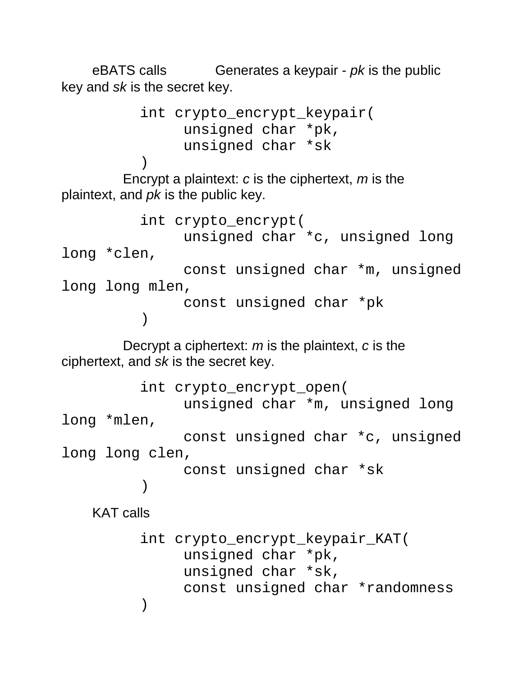eBATS calls Generates a keypair - *pk* is the public key and *sk* is the secret key.

```
 int crypto_encrypt_keypair(
                 unsigned char *pk,
                 unsigned char *sk
 )
        Encrypt a plaintext: c is the ciphertext, m is the 
plaintext, and pk is the public key. 
            int crypto_encrypt(
                 unsigned char *c, unsigned long 
long *clen,
                 const unsigned char *m, unsigned 
long long mlen,
                 const unsigned char *pk
            ) 
        Decrypt a ciphertext: m is the plaintext, c is the 
ciphertext, and sk is the secret key. 
            int crypto_encrypt_open(
                 unsigned char *m, unsigned long 
long *mlen,
                 const unsigned char *c, unsigned 
long long clen,
                 const unsigned char *sk
            ) 
    KAT calls
```
 int crypto\_encrypt\_keypair\_KAT( unsigned char \*pk, unsigned char \*sk, const unsigned char \*randomness )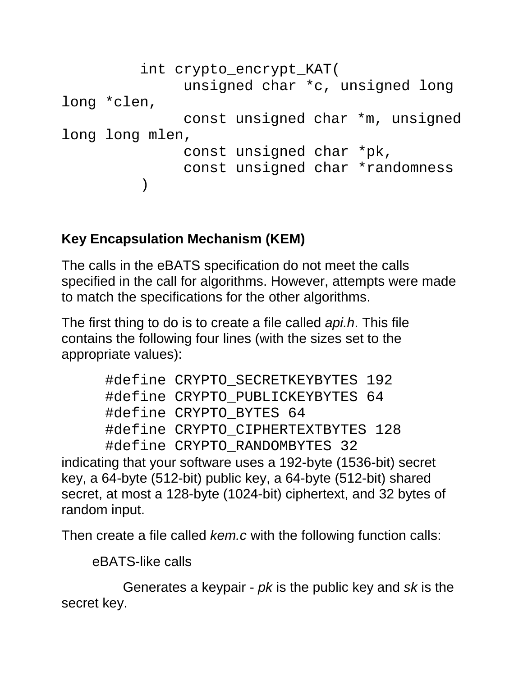```
 int crypto_encrypt_KAT(
                unsigned char *c, unsigned long 
long *clen,
                const unsigned char *m, unsigned 
long long mlen,
                const unsigned char *pk,
                const unsigned char *randomness
           )
```
### **Key Encapsulation Mechanism (KEM)**

The calls in the eBATS specification do not meet the calls specified in the call for algorithms. However, attempts were made to match the specifications for the other algorithms.

The first thing to do is to create a file called *api.h*. This file contains the following four lines (with the sizes set to the appropriate values):

```
 #define CRYPTO_SECRETKEYBYTES 192
 #define CRYPTO_PUBLICKEYBYTES 64
 #define CRYPTO_BYTES 64
 #define CRYPTO_CIPHERTEXTBYTES 128
 #define CRYPTO_RANDOMBYTES 32
```
indicating that your software uses a 192-byte (1536-bit) secret key, a 64-byte (512-bit) public key, a 64-byte (512-bit) shared secret, at most a 128-byte (1024-bit) ciphertext, and 32 bytes of random input.

Then create a file called *kem.c* with the following function calls:

eBATS-like calls

Generates a keypair - *pk* is the public key and *sk* is the secret key.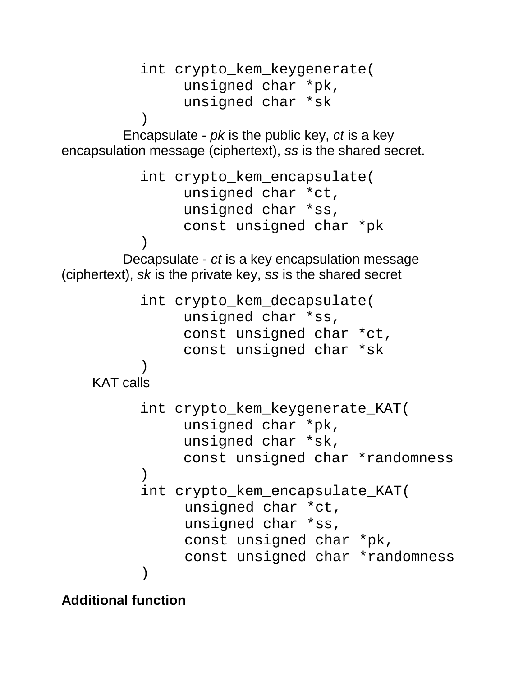```
 int crypto_kem_keygenerate(
                unsigned char *pk,
                unsigned char *sk
 )
        Encapsulate - pk is the public key, ct is a key 
encapsulation message (ciphertext), ss is the shared secret. 
           int crypto_kem_encapsulate(
                unsigned char *ct,
                unsigned char *ss,
                const unsigned char *pk
 )
        Decapsulate - ct is a key encapsulation message 
(ciphertext), sk is the private key, ss is the shared secret 
           int crypto_kem_decapsulate(
                unsigned char *ss,
                const unsigned char *ct,
                const unsigned char *sk
 )
    KAT calls 
           int crypto_kem_keygenerate_KAT(
                unsigned char *pk,
                unsigned char *sk,
                const unsigned char *randomness
 )
           int crypto_kem_encapsulate_KAT(
               unsigned char *ct,
               unsigned char *ss,
                const unsigned char *pk,
                const unsigned char *randomness
         )
```
**Additional function**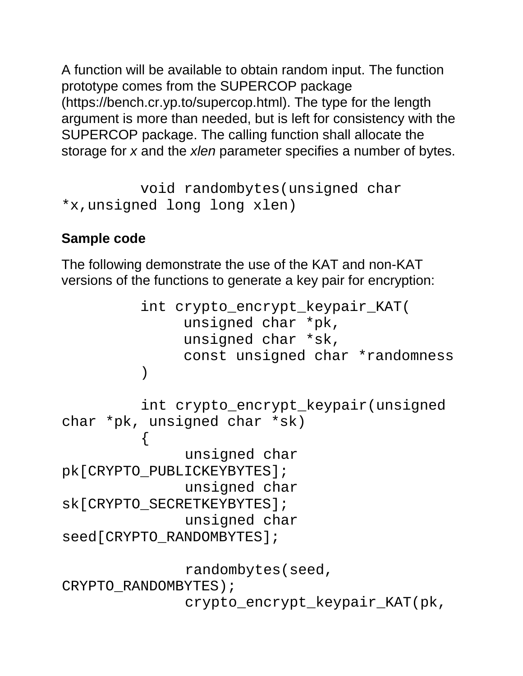A function will be available to obtain random input. The function prototype comes from the SUPERCOP package (https://bench.cr.yp.to/supercop.html). The type for the length argument is more than needed, but is left for consistency with the SUPERCOP package. The calling function shall allocate the storage for *x* and the *xlen* parameter specifies a number of bytes.

```
 void randombytes(unsigned char 
*x,unsigned long long xlen)
```
#### **Sample code**

The following demonstrate the use of the KAT and non-KAT versions of the functions to generate a key pair for encryption:

```
 int crypto_encrypt_keypair_KAT(
              unsigned char *pk,
              unsigned char *sk,
              const unsigned char *randomness
         )
          int crypto_encrypt_keypair(unsigned 
char *pk, unsigned char *sk)
         \{unsigned char 
pk[CRYPTO_PUBLICKEYBYTES];
               unsigned char 
sk[CRYPTO_SECRETKEYBYTES];
              unsigned char 
seed[CRYPTO_RANDOMBYTES];
               randombytes(seed, 
CRYPTO_RANDOMBYTES);
               crypto_encrypt_keypair_KAT(pk,
```